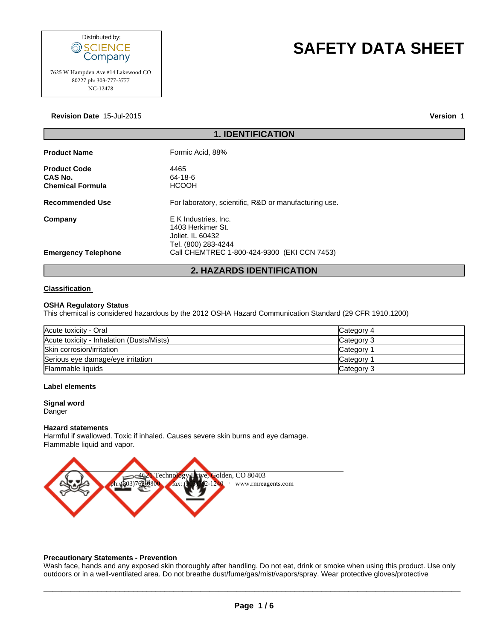

# **SAFETY DATA SHEET**

# **Revision Date** 15-Jul-2015

**Version** 1

| Distributed by:<br>SCIENCE<br>Company                                    | <b>SAFETY DATA SHE</b>                                                               |
|--------------------------------------------------------------------------|--------------------------------------------------------------------------------------|
| 7625 W Hampden Ave #14 Lakewood CO<br>80227 ph: 303-777-3777<br>NC-12478 |                                                                                      |
| Revision Date 15-Jul-2015                                                | Ve                                                                                   |
|                                                                          | <b>1. IDENTIFICATION</b>                                                             |
| <b>Product Name</b>                                                      | Formic Acid, 88%                                                                     |
| <b>Product Code</b><br>CAS No.<br><b>Chemical Formula</b>                | 4465<br>64-18-6<br><b>HCOOH</b>                                                      |
| <b>Recommended Use</b>                                                   | For laboratory, scientific, R&D or manufacturing use.                                |
| Company                                                                  | E K Industries, Inc.<br>1403 Herkimer St.<br>Joliet, IL 60432<br>Tel. (800) 283-4244 |
| <b>Emergency Telephone</b>                                               | Call CHEMTREC 1-800-424-9300 (EKI CCN 7453)                                          |
|                                                                          | <b>2. HAZARDS IDENTIFICATION</b>                                                     |
| <b>Classification</b>                                                    |                                                                                      |
| <b>OSHA Requiatory Status</b>                                            |                                                                                      |

# **Classification**

# **OSHA Regulatory Status**

This chemical is considered hazardous by the 2012 OSHA Hazard Communication Standard (29 CFR 1910.1200)

| Acute toxicity - Oral                     | Category 4 |
|-------------------------------------------|------------|
| Acute toxicity - Inhalation (Dusts/Mists) | Category 3 |
| Skin corrosion/irritation                 | Category 1 |
| Serious eye damage/eye irritation         | Category 1 |
| <b>Flammable liquids</b>                  | Category 3 |

# **Label elements**

# **Signal word**

Danger

# **Hazard statements**

Flammable liquid and vapor. Harmful if swallowed. Toxic if inhaled. Causes severe skin burns and eye damage.



# **Precautionary Statements - Prevention**

Wash face, hands and any exposed skin thoroughly after handling. Do not eat, drink or smoke when using this product. Use only outdoors or in a well-ventilated area. Do not breathe dust/fume/gas/mist/vapors/spray. Wear protective gloves/protective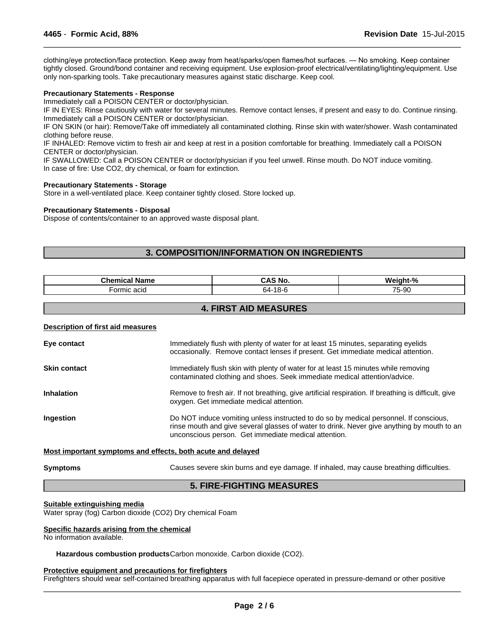clothing/eye protection/face protection. Keep away from heat/sparks/open flames/hot surfaces. — No smoking. Keep container tightly closed. Ground/bond container and receiving equipment. Use explosion-proof electrical/ventilating/lighting/equipment. Use only non-sparking tools. Take precautionary measures against static discharge. Keep cool.

 $\overline{\phantom{a}}$  ,  $\overline{\phantom{a}}$  ,  $\overline{\phantom{a}}$  ,  $\overline{\phantom{a}}$  ,  $\overline{\phantom{a}}$  ,  $\overline{\phantom{a}}$  ,  $\overline{\phantom{a}}$  ,  $\overline{\phantom{a}}$  ,  $\overline{\phantom{a}}$  ,  $\overline{\phantom{a}}$  ,  $\overline{\phantom{a}}$  ,  $\overline{\phantom{a}}$  ,  $\overline{\phantom{a}}$  ,  $\overline{\phantom{a}}$  ,  $\overline{\phantom{a}}$  ,  $\overline{\phantom{a}}$ 

# **Precautionary Statements - Response**

Immediately call a POISON CENTER or doctor/physician.

IF IN EYES: Rinse cautiously with water for several minutes. Remove contact lenses, if present and easy to do. Continue rinsing. Immediately call a POISON CENTER or doctor/physician.

IF ON SKIN (or hair): Remove/Take off immediately all contaminated clothing. Rinse skin with water/shower. Wash contaminated clothing before reuse.

IF INHALED: Remove victim to fresh air and keep at rest in a position comfortable for breathing. Immediately call a POISON CENTER or doctor/physician.

IF SWALLOWED: Call a POISON CENTER or doctor/physician if you feel unwell. Rinse mouth. Do NOT induce vomiting. In case of fire: Use CO2, dry chemical, or foam for extinction.

# **Precautionary Statements - Storage**

Store in a well-ventilated place. Keep container tightly closed. Store locked up.

# **Precautionary Statements - Disposal**

Dispose of contents/container to an approved waste disposal plant.

# **3. COMPOSITION/INFORMATION ON INGREDIENTS**

| <b>Thomine</b><br>∣ Name<br>.<br>ннса | CA.<br>5 NO.                 | $^{\circ}$<br>٠,                        |
|---------------------------------------|------------------------------|-----------------------------------------|
| ∙ormic<br>acid                        | $\overline{4}$ O<br>-64<br>. | $-$<br>$\sim$<br>n-ur<br>- ت<br>$\cdot$ |

# **4. FIRST AID MEASURES**

# **Description of first aid measures**

| Eye contact         | Immediately flush with plenty of water for at least 15 minutes, separating eyelids<br>occasionally. Remove contact lenses if present. Get immediate medical attention.                                                                      |
|---------------------|---------------------------------------------------------------------------------------------------------------------------------------------------------------------------------------------------------------------------------------------|
| <b>Skin contact</b> | Immediately flush skin with plenty of water for at least 15 minutes while removing<br>contaminated clothing and shoes. Seek immediate medical attention/advice.                                                                             |
| <b>Inhalation</b>   | Remove to fresh air. If not breathing, give artificial respiration. If breathing is difficult, give<br>oxygen. Get immediate medical attention.                                                                                             |
| <b>Ingestion</b>    | Do NOT induce vomiting unless instructed to do so by medical personnel. If conscious,<br>rinse mouth and give several glasses of water to drink. Never give anything by mouth to an<br>unconscious person. Get immediate medical attention. |
|                     |                                                                                                                                                                                                                                             |

# **Most important symptoms and effects, both acute and delayed**

# **Symptoms Causes severe skin burns and eye damage. If inhaled, may cause breathing difficulties.**

 $\overline{\phantom{a}}$  ,  $\overline{\phantom{a}}$  ,  $\overline{\phantom{a}}$  ,  $\overline{\phantom{a}}$  ,  $\overline{\phantom{a}}$  ,  $\overline{\phantom{a}}$  ,  $\overline{\phantom{a}}$  ,  $\overline{\phantom{a}}$  ,  $\overline{\phantom{a}}$  ,  $\overline{\phantom{a}}$  ,  $\overline{\phantom{a}}$  ,  $\overline{\phantom{a}}$  ,  $\overline{\phantom{a}}$  ,  $\overline{\phantom{a}}$  ,  $\overline{\phantom{a}}$  ,  $\overline{\phantom{a}}$ 

# **5. FIRE-FIGHTING MEASURES**

# **Suitable extinguishing media**

Water spray (fog) Carbon dioxide (CO2) Dry chemical Foam

# **Specific hazards arising from the chemical**

No information available.

**Hazardous combustion products**Carbon monoxide. Carbon dioxide (CO2).

# **Protective equipment and precautions for firefighters**

Firefighters should wear self-contained breathing apparatus with full facepiece operated in pressure-demand or other positive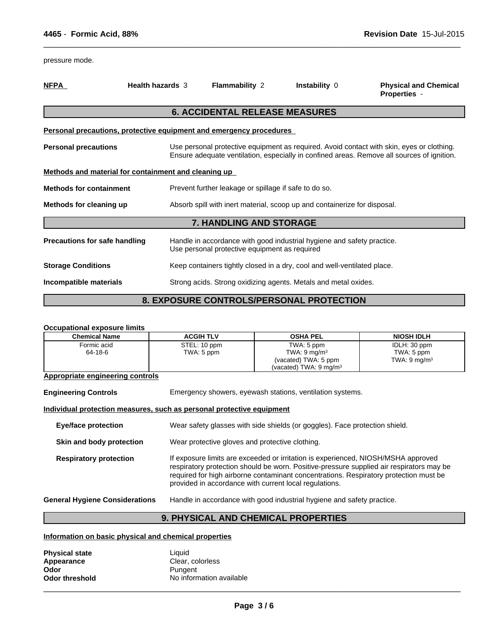| 4465 - Formic Acid, 88%                                             |                         |                                                                                                                                                                                         |                                                 | Revision Date 15-Jul-2015                           |
|---------------------------------------------------------------------|-------------------------|-----------------------------------------------------------------------------------------------------------------------------------------------------------------------------------------|-------------------------------------------------|-----------------------------------------------------|
| pressure mode.                                                      |                         |                                                                                                                                                                                         |                                                 |                                                     |
| <b>NFPA</b>                                                         | <b>Health hazards 3</b> | Flammability 2                                                                                                                                                                          | Instability 0                                   | <b>Physical and Chemical</b><br><b>Properties -</b> |
|                                                                     |                         | <b>6. ACCIDENTAL RELEASE MEASURES</b>                                                                                                                                                   |                                                 |                                                     |
| Personal precautions, protective equipment and emergency procedures |                         |                                                                                                                                                                                         |                                                 |                                                     |
| <b>Personal precautions</b>                                         |                         | Use personal protective equipment as required. Avoid contact with skin, eyes or clothing.<br>Ensure adequate ventilation, especially in confined areas. Remove all sources of ignition. |                                                 |                                                     |
| Methods and material for containment and cleaning up                |                         |                                                                                                                                                                                         |                                                 |                                                     |
| <b>Methods for containment</b>                                      |                         | Prevent further leakage or spillage if safe to do so.                                                                                                                                   |                                                 |                                                     |
| Methods for cleaning up                                             |                         | Absorb spill with inert material, scoop up and containerize for disposal.                                                                                                               |                                                 |                                                     |
|                                                                     |                         | 7. HANDLING AND STORAGE                                                                                                                                                                 |                                                 |                                                     |
| <b>Precautions for safe handling</b>                                |                         | Handle in accordance with good industrial hygiene and safety practice.<br>Use personal protective equipment as required                                                                 |                                                 |                                                     |
| <b>Storage Conditions</b>                                           |                         | Keep containers tightly closed in a dry, cool and well-ventilated place.                                                                                                                |                                                 |                                                     |
| Incompatible materials                                              |                         | Strong acids. Strong oxidizing agents. Metals and metal oxides.                                                                                                                         |                                                 |                                                     |
|                                                                     |                         |                                                                                                                                                                                         | <b>8. EXPOSURE CONTROLS/PERSONAL PROTECTION</b> |                                                     |
|                                                                     |                         |                                                                                                                                                                                         |                                                 |                                                     |
| <b>Occupational exposure limits</b>                                 |                         |                                                                                                                                                                                         |                                                 |                                                     |

 $\_$  ,  $\_$  ,  $\_$  ,  $\_$  ,  $\_$  ,  $\_$  ,  $\_$  ,  $\_$  ,  $\_$  ,  $\_$  ,  $\_$  ,  $\_$  ,  $\_$  ,  $\_$  ,  $\_$  ,  $\_$  ,  $\_$  ,  $\_$  ,  $\_$  ,  $\_$  ,  $\_$  ,  $\_$  ,  $\_$  ,  $\_$  ,  $\_$  ,  $\_$  ,  $\_$  ,  $\_$  ,  $\_$  ,  $\_$  ,  $\_$  ,  $\_$  ,  $\_$  ,  $\_$  ,  $\_$  ,  $\_$  ,  $\_$  ,

# **Occupational exposure limits Chemical Name ACGIH TLV OSHA PEL NIOSH IDLH** Formic acid 64-18-6 STEL: 10 ppm TWA: 5 ppm TWA: 5 ppm TWA:  $9 \text{ mg/m}^3$ (vacated) TWA: 5 ppm (vacated) TWA: 9 mg/m<sup>3</sup> IDLH: 30 ppm TWA: 5 ppm TWA:  $9 \text{ mg/m}^3$ **Appropriate engineering controls Engineering Controls** Emergency showers, eyewash stations, ventilation systems. **Individual protection measures, such as personal protective equipment Eye/face protection** Wear safety glasses with side shields (or goggles). Face protection shield. **Skin and body protection** Wear protective gloves and protective clothing. **Respiratory protection** If exposure limits are exceeded or irritation is experienced, NIOSH/MSHA approved respiratory protection should be worn. Positive-pressure supplied air respirators may be required for high airborne contaminant concentrations. Respiratory protection must be provided in accordance with current local regulations. **General Hygiene Considerations** Handle in accordance with good industrial hygiene and safety practice. Emergency showers, eyewash stations, ventilation systems.<br> **9. Alternation and a personal protective equipment**<br>
Wear safety glasses with side shields (or goggles). Face protection shield.<br>
Wear protective gloves and prote

# **Information on basic physical and chemical properties**

| <b>Physical state</b> | Liauid                   |
|-----------------------|--------------------------|
| Appearance            | Clear, colorless         |
| Odor                  | Pungent                  |
| <b>Odor threshold</b> | No information available |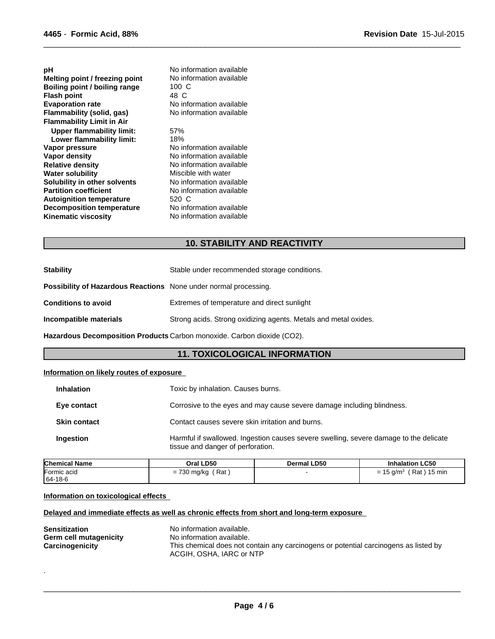| рH<br>Melting point / freezing point<br>Boiling point / boiling range<br><b>Flash point</b><br><b>Evaporation rate</b><br>Flammability (solid, gas)<br><b>Flammability Limit in Air</b> | No information available<br>No information available<br>$100 \text{ C}$<br>48 C<br>No information available<br>No information available |
|-----------------------------------------------------------------------------------------------------------------------------------------------------------------------------------------|-----------------------------------------------------------------------------------------------------------------------------------------|
| <b>Upper flammability limit:</b>                                                                                                                                                        | 57%                                                                                                                                     |
| Lower flammability limit:                                                                                                                                                               | 18%                                                                                                                                     |
| Vapor pressure                                                                                                                                                                          | No information available                                                                                                                |
| Vapor density                                                                                                                                                                           | No information available                                                                                                                |
| <b>Relative density</b>                                                                                                                                                                 | No information available                                                                                                                |
| <b>Water solubility</b>                                                                                                                                                                 | Miscible with water                                                                                                                     |
| Solubility in other solvents                                                                                                                                                            | No information available                                                                                                                |
| <b>Partition coefficient</b>                                                                                                                                                            | No information available                                                                                                                |
| <b>Autoignition temperature</b>                                                                                                                                                         | 520 C                                                                                                                                   |
| <b>Decomposition temperature</b>                                                                                                                                                        | No information available                                                                                                                |
| <b>Kinematic viscosity</b>                                                                                                                                                              | No information available                                                                                                                |
|                                                                                                                                                                                         |                                                                                                                                         |
|                                                                                                                                                                                         | <b>10. STABILITY AND REACTIVITY</b>                                                                                                     |
|                                                                                                                                                                                         |                                                                                                                                         |
| <b>Stability</b>                                                                                                                                                                        | Stable under recommended storage conditions.                                                                                            |

 $\_$  ,  $\_$  ,  $\_$  ,  $\_$  ,  $\_$  ,  $\_$  ,  $\_$  ,  $\_$  ,  $\_$  ,  $\_$  ,  $\_$  ,  $\_$  ,  $\_$  ,  $\_$  ,  $\_$  ,  $\_$  ,  $\_$  ,  $\_$  ,  $\_$  ,  $\_$  ,  $\_$  ,  $\_$  ,  $\_$  ,  $\_$  ,  $\_$  ,  $\_$  ,  $\_$  ,  $\_$  ,  $\_$  ,  $\_$  ,  $\_$  ,  $\_$  ,  $\_$  ,  $\_$  ,  $\_$  ,  $\_$  ,  $\_$  ,

| <b>Kinematic viscosity</b>                                              | No information available                                                |  |
|-------------------------------------------------------------------------|-------------------------------------------------------------------------|--|
|                                                                         |                                                                         |  |
|                                                                         | <b>10. STABILITY AND REACTIVITY</b>                                     |  |
|                                                                         |                                                                         |  |
| <b>Stability</b>                                                        | Stable under recommended storage conditions.                            |  |
| <b>Possibility of Hazardous Reactions</b> None under normal processing. |                                                                         |  |
| <b>Conditions to avoid</b>                                              | Extremes of temperature and direct sunlight                             |  |
| Incompatible materials                                                  | Strong acids. Strong oxidizing agents. Metals and metal oxides.         |  |
|                                                                         | Hazardous Decomposition Products Carbon monoxide. Carbon dioxide (CO2). |  |
|                                                                         | <b>11. TOXICOLOGICAL INFORMATION</b>                                    |  |
| Information on likely routes of exposure                                |                                                                         |  |
| Inhalation                                                              | Toxic by inhalation. Causes burns.                                      |  |

# **Information on likely routes of exposure**

| Toxic by inhalation. Causes burns.                                                                                         |
|----------------------------------------------------------------------------------------------------------------------------|
| Corrosive to the eyes and may cause severe damage including blindness.                                                     |
| Contact causes severe skin irritation and burns.                                                                           |
| Harmful if swallowed. Ingestion causes severe swelling, severe damage to the delicate<br>tissue and danger of perforation. |
|                                                                                                                            |

| <b>Chemical Name</b> | Oral LD50                                                                | <b>Dermal LD50</b> | <b>Inhalation LC50</b>                                                        |
|----------------------|--------------------------------------------------------------------------|--------------------|-------------------------------------------------------------------------------|
| Formic acid          | Rat<br>$\overline{\phantom{a}}$<br>730 ma/ka<br>$\overline{\phantom{0}}$ |                    | $15 \text{ min}$<br>Rat<br>.5 g/m $^{\circ}$<br>$\overline{\phantom{0}}$<br>= |
| 64-18-6              |                                                                          |                    |                                                                               |

# **Information on toxicological effects**

.

# **Delayed and immediate effects as well as chronic effects from short and long-term exposure**

| <b>Sensitization</b>   | No information available.                                                            |
|------------------------|--------------------------------------------------------------------------------------|
| Germ cell mutagenicity | No information available.                                                            |
| Carcinogenicity        | This chemical does not contain any carcinogens or potential carcinogens as listed by |
|                        | ACGIH, OSHA, IARC or NTP                                                             |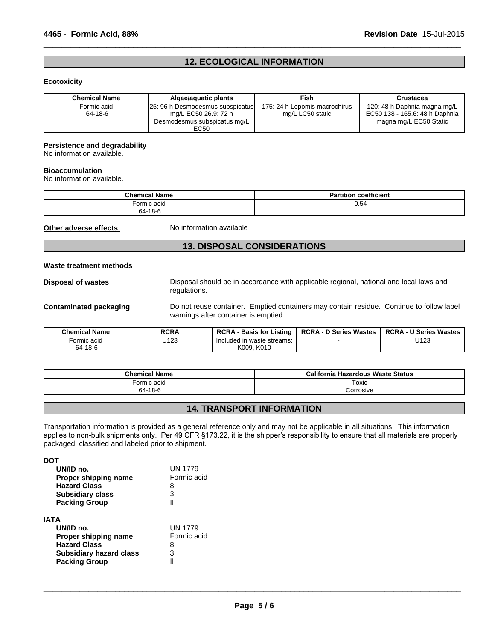# **12. ECOLOGICAL INFORMATION**

 $\overline{\phantom{a}}$  ,  $\overline{\phantom{a}}$  ,  $\overline{\phantom{a}}$  ,  $\overline{\phantom{a}}$  ,  $\overline{\phantom{a}}$  ,  $\overline{\phantom{a}}$  ,  $\overline{\phantom{a}}$  ,  $\overline{\phantom{a}}$  ,  $\overline{\phantom{a}}$  ,  $\overline{\phantom{a}}$  ,  $\overline{\phantom{a}}$  ,  $\overline{\phantom{a}}$  ,  $\overline{\phantom{a}}$  ,  $\overline{\phantom{a}}$  ,  $\overline{\phantom{a}}$  ,  $\overline{\phantom{a}}$ 

# **Ecotoxicity**

| <b>Chemical Name</b> | Algae/aguatic plants             | Fish                          | Crustacea                      |
|----------------------|----------------------------------|-------------------------------|--------------------------------|
| Formic acid          | 25: 96 h Desmodesmus subspicatus | 175: 24 h Lepomis macrochirus | 120: 48 h Daphnia magna mg/L   |
| 64-18-6              | mg/L EC50 26.9: 72 h             | mg/L LC50 static              | EC50 138 - 165.6: 48 h Daphnia |
|                      | Desmodesmus subspicatus mg/L     |                               | magna mg/L EC50 Static         |
|                      | EC50                             |                               |                                |

# **Persistence and degradability**

No information available.

# **Bioaccumulation**

No information available.

| <b>Chemical Name</b> | <b>Partition coefficient</b> |
|----------------------|------------------------------|
| Formic acid          | $-0.54$                      |
| 64-18-6              |                              |

**Other adverse effects** No information available

# **13. DISPOSAL CONSIDERATIONS**

# **Waste treatment methods**

**Disposal of wastes** Disposal should be in accordance with applicable regional, national and local laws and regulations.

**Contaminated packaging** Do not reuse container. Emptied containers may contain residue. Continue to follow label warnings after container is emptied.

| <b>Chemical Name</b> | <b>RCRA</b> | <b>RCRA</b><br>→ Basis for L<br>Listino | <b>RCRA - D Series Wastes</b> | <b>U Series Wastes</b><br><b>RCRA-L</b> |
|----------------------|-------------|-----------------------------------------|-------------------------------|-----------------------------------------|
| Formic acid          | U123        | ı waste streams:<br>Included in         |                               | U123                                    |
| 64-18-6              |             | K010<br>K009.                           |                               |                                         |

| <b>Chemical Name</b> | California<br>a Hazardous Waste Status |
|----------------------|----------------------------------------|
| ormic acid           | Toxic                                  |
| 64-18-6              | corrosive.                             |

# **14. TRANSPORT INFORMATION**

Transportation information is provided as a general reference only and may not be applicable in all situations. This information applies to non-bulk shipments only. Per 49 CFR §173.22, it is the shipper's responsibility to ensure that all materials are properly packaged, classified and labeled prior to shipment.

**DOT** 

| UN/ID no.<br>Proper shipping name<br><b>Hazard Class</b><br><b>Subsidiary class</b><br><b>Packing Group</b> | UN 1779<br>Formic acid<br>8<br>3   |  |
|-------------------------------------------------------------------------------------------------------------|------------------------------------|--|
| IATA<br>UN/ID no.<br>Proper shipping name<br><b>Hazard Class</b>                                            | <b>UN 1779</b><br>Formic acid<br>8 |  |
| <b>Subsidiary hazard class</b><br><b>Packing Group</b>                                                      | 3                                  |  |

 $\overline{\phantom{a}}$  ,  $\overline{\phantom{a}}$  ,  $\overline{\phantom{a}}$  ,  $\overline{\phantom{a}}$  ,  $\overline{\phantom{a}}$  ,  $\overline{\phantom{a}}$  ,  $\overline{\phantom{a}}$  ,  $\overline{\phantom{a}}$  ,  $\overline{\phantom{a}}$  ,  $\overline{\phantom{a}}$  ,  $\overline{\phantom{a}}$  ,  $\overline{\phantom{a}}$  ,  $\overline{\phantom{a}}$  ,  $\overline{\phantom{a}}$  ,  $\overline{\phantom{a}}$  ,  $\overline{\phantom{a}}$